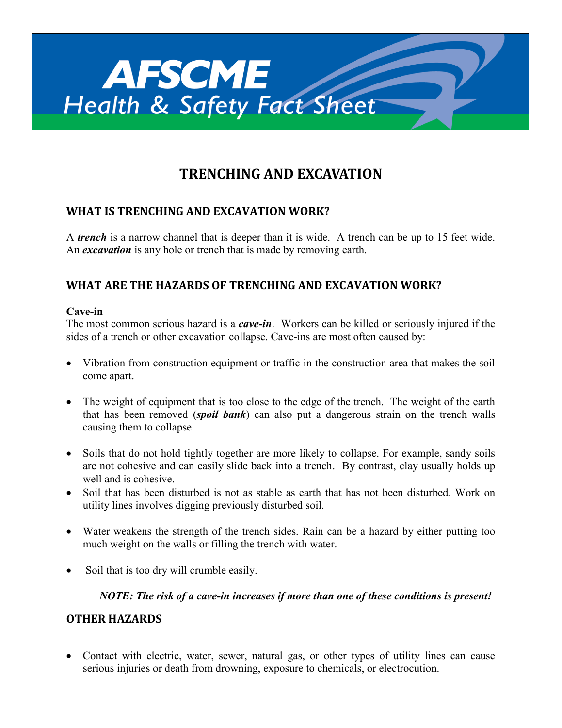

# **TRENCHING AND EXCAVATION**

## **WHAT IS TRENCHING AND EXCAVATION WORK?**

A *trench* is a narrow channel that is deeper than it is wide. A trench can be up to 15 feet wide. An *excavation* is any hole or trench that is made by removing earth.

## **WHAT ARE THE HAZARDS OF TRENCHING AND EXCAVATION WORK?**

#### **Cave-in**

The most common serious hazard is a *cave-in*. Workers can be killed or seriously injured if the sides of a trench or other excavation collapse. Cave-ins are most often caused by:

- Vibration from construction equipment or traffic in the construction area that makes the soil come apart.
- The weight of equipment that is too close to the edge of the trench. The weight of the earth that has been removed (*spoil bank*) can also put a dangerous strain on the trench walls causing them to collapse.
- Soils that do not hold tightly together are more likely to collapse. For example, sandy soils are not cohesive and can easily slide back into a trench. By contrast, clay usually holds up well and is cohesive.
- Soil that has been disturbed is not as stable as earth that has not been disturbed. Work on utility lines involves digging previously disturbed soil.
- Water weakens the strength of the trench sides. Rain can be a hazard by either putting too much weight on the walls or filling the trench with water.
- Soil that is too dry will crumble easily.

#### *NOTE: The risk of a cave-in increases if more than one of these conditions is present!*

## **OTHER HAZARDS**

• Contact with electric, water, sewer, natural gas, or other types of utility lines can cause serious injuries or death from drowning, exposure to chemicals, or electrocution.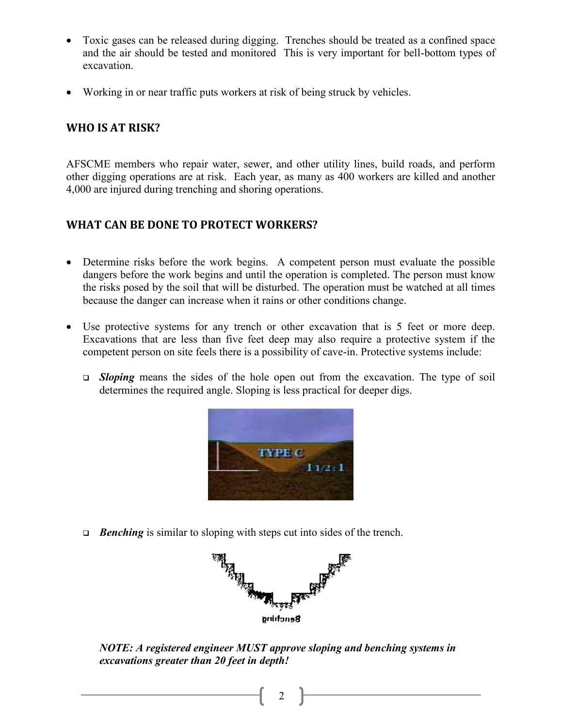- Toxic gases can be released during digging. Trenches should be treated as a confined space and the air should be tested and monitored This is very important for bell-bottom types of excavation.
- Working in or near traffic puts workers at risk of being struck by vehicles.

#### **WHO IS AT RISK?**

AFSCME members who repair water, sewer, and other utility lines, build roads, and perform other digging operations are at risk. Each year, as many as 400 workers are killed and another 4,000 are injured during trenching and shoring operations.

## **WHAT CAN BE DONE TO PROTECT WORKERS?**

- Determine risks before the work begins. A competent person must evaluate the possible dangers before the work begins and until the operation is completed. The person must know the risks posed by the soil that will be disturbed. The operation must be watched at all times because the danger can increase when it rains or other conditions change.
- Use protective systems for any trench or other excavation that is 5 feet or more deep. Excavations that are less than five feet deep may also require a protective system if the competent person on site feels there is a possibility of cave-in. Protective systems include:
	- *Sloping* means the sides of the hole open out from the excavation. The type of soil determines the required angle. Sloping is less practical for deeper digs.



*Benching* is similar to sloping with steps cut into sides of the trench.



*NOTE: A registered engineer MUST approve sloping and benching systems in excavations greater than 20 feet in depth!*

2